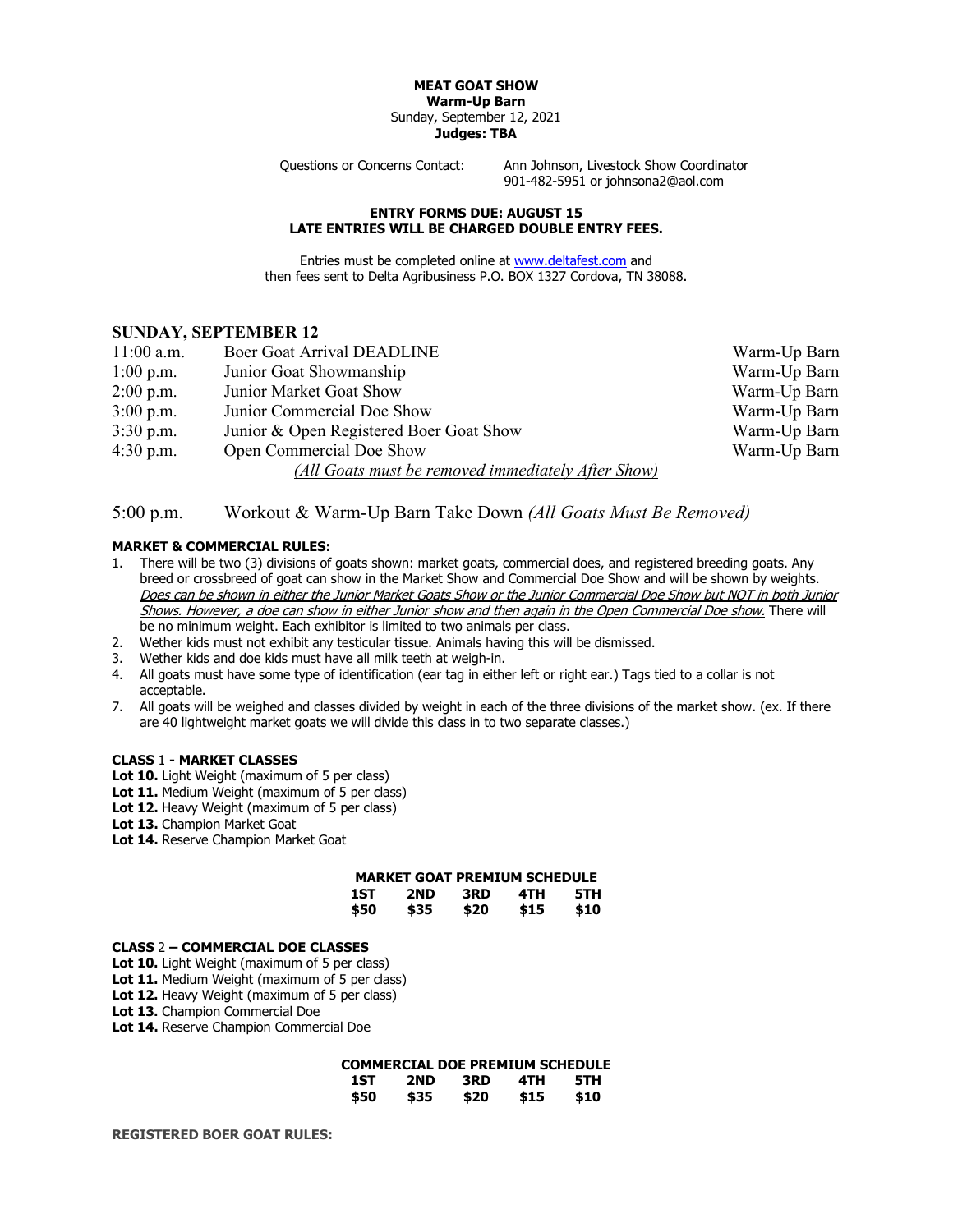#### **MEAT GOAT SHOW Warm-Up Barn** Sunday, September 12, 2021 **Judges: TBA**

Questions or Concerns Contact: Ann Johnson, Livestock Show Coordinator 901-482-5951 or johnsona2@aol.com

#### **ENTRY FORMS DUE: AUGUST 15 LATE ENTRIES WILL BE CHARGED DOUBLE ENTRY FEES.**

Entries must be completed online at [www.deltafest.com](http://www.deltafest.com/) and then fees sent to Delta Agribusiness P.O. BOX 1327 Cordova, TN 38088.

## **SUNDAY, SEPTEMBER 12**

| $11:00$ a.m. | <b>Boer Goat Arrival DEADLINE</b>                  | Warm-Up Barn |
|--------------|----------------------------------------------------|--------------|
| $1:00$ p.m.  | Junior Goat Showmanship                            | Warm-Up Barn |
| $2:00$ p.m.  | Junior Market Goat Show                            | Warm-Up Barn |
| $3:00$ p.m.  | Junior Commercial Doe Show                         | Warm-Up Barn |
| $3:30$ p.m.  | Junior & Open Registered Boer Goat Show            | Warm-Up Barn |
| $4:30$ p.m.  | Open Commercial Doe Show                           | Warm-Up Barn |
|              | (All Goats must be removed immediately After Show) |              |

# 5:00 p.m. Workout & Warm-Up Barn Take Down *(All Goats Must Be Removed)*

### **MARKET & COMMERCIAL RULES:**

- 1. There will be two (3) divisions of goats shown: market goats, commercial does, and registered breeding goats. Any breed or crossbreed of goat can show in the Market Show and Commercial Doe Show and will be shown by weights. Does can be shown in either the Junior Market Goats Show or the Junior Commercial Doe Show but NOT in both Junior Shows. However, a doe can show in either Junior show and then again in the Open Commercial Doe show. There will be no minimum weight. Each exhibitor is limited to two animals per class.
- 2. Wether kids must not exhibit any testicular tissue. Animals having this will be dismissed.
- 3. Wether kids and doe kids must have all milk teeth at weigh-in.
- 4. All goats must have some type of identification (ear tag in either left or right ear.) Tags tied to a collar is not acceptable.
- 7. All goats will be weighed and classes divided by weight in each of the three divisions of the market show. (ex. If there are 40 lightweight market goats we will divide this class in to two separate classes.)

#### **CLASS** 1 **- MARKET CLASSES**

- **Lot 10.** Light Weight (maximum of 5 per class)
- Lot 11. Medium Weight (maximum of 5 per class)
- Lot 12. Heavy Weight (maximum of 5 per class)
- **Lot 13.** Champion Market Goat
- Lot 14. Reserve Champion Market Goat

| <b>MARKET GOAT PREMIUM SCHEDULE</b> |      |      |      |      |
|-------------------------------------|------|------|------|------|
| 1ST                                 | 2ND  | 3RD  | 4TH  | 5TH  |
| \$50                                | \$35 | \$20 | \$15 | \$10 |

### **CLASS** 2 **– COMMERCIAL DOE CLASSES**

- **Lot 10.** Light Weight (maximum of 5 per class)
- Lot 11. Medium Weight (maximum of 5 per class)
- Lot 12. Heavy Weight (maximum of 5 per class)
- **Lot 13.** Champion Commercial Doe
- **Lot 14.** Reserve Champion Commercial Doe

## **COMMERCIAL DOE PREMIUM SCHEDULE**

| 1ST  | 2ND  | 3RD  | 4TH  | 5TH  |
|------|------|------|------|------|
| \$50 | \$35 | \$20 | \$15 | \$10 |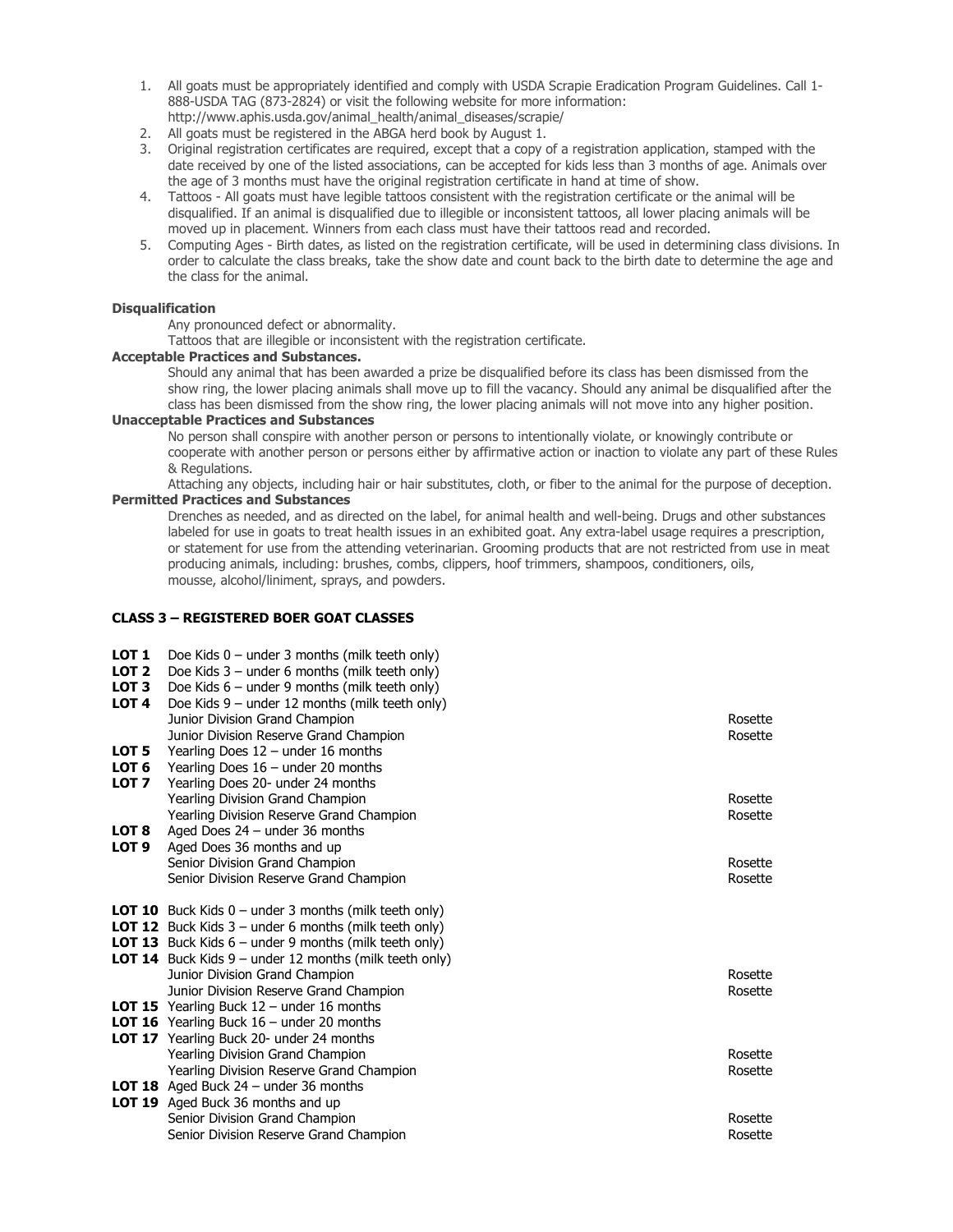- 1. All goats must be appropriately identified and comply with USDA Scrapie Eradication Program Guidelines. Call 1- 888-USDA TAG (873-2824) or visit the following website for more information: http://www.aphis.usda.gov/animal\_health/animal\_diseases/scrapie/
- 2. All goats must be registered in the ABGA herd book by August 1.
- 3. Original registration certificates are required, except that a copy of a registration application, stamped with the date received by one of the listed associations, can be accepted for kids less than 3 months of age. Animals over the age of 3 months must have the original registration certificate in hand at time of show.
- 4. Tattoos All goats must have legible tattoos consistent with the registration certificate or the animal will be disqualified. If an animal is disqualified due to illegible or inconsistent tattoos, all lower placing animals will be moved up in placement. Winners from each class must have their tattoos read and recorded.
- 5. Computing Ages Birth dates, as listed on the registration certificate, will be used in determining class divisions. In order to calculate the class breaks, take the show date and count back to the birth date to determine the age and the class for the animal.

## **Disqualification**

Any pronounced defect or abnormality.

Tattoos that are illegible or inconsistent with the registration certificate.

#### **Acceptable Practices and Substances.**

Should any animal that has been awarded a prize be disqualified before its class has been dismissed from the show ring, the lower placing animals shall move up to fill the vacancy. Should any animal be disqualified after the class has been dismissed from the show ring, the lower placing animals will not move into any higher position.

## **Unacceptable Practices and Substances**

No person shall conspire with another person or persons to intentionally violate, or knowingly contribute or cooperate with another person or persons either by affirmative action or inaction to violate any part of these Rules & Regulations.

Attaching any objects, including hair or hair substitutes, cloth, or fiber to the animal for the purpose of deception. **Permitted Practices and Substances**

Drenches as needed, and as directed on the label, for animal health and well-being. Drugs and other substances labeled for use in goats to treat health issues in an exhibited goat. Any extra-label usage requires a prescription, or statement for use from the attending veterinarian. Grooming products that are not restricted from use in meat producing animals, including: brushes, combs, clippers, hoof trimmers, shampoos, conditioners, oils, mousse, alcohol/liniment, sprays, and powders.

#### **CLASS 3 – REGISTERED BOER GOAT CLASSES**

| LOT 1<br>LOT <sub>2</sub><br>LOT <sub>3</sub><br>LOT <sub>4</sub><br>LOT 5<br>LOT <sub>6</sub> | Doe Kids $0$ – under 3 months (milk teeth only)<br>Doe Kids $3$ – under 6 months (milk teeth only)<br>Doe Kids $6$ – under 9 months (milk teeth only)<br>Doe Kids $9$ – under 12 months (milk teeth only)<br>Junior Division Grand Champion<br>Junior Division Reserve Grand Champion<br>Yearling Does $12$ – under 16 months<br>Yearling Does $16$ – under 20 months                                                                                                                                            | Rosette<br>Rosette                       |
|------------------------------------------------------------------------------------------------|------------------------------------------------------------------------------------------------------------------------------------------------------------------------------------------------------------------------------------------------------------------------------------------------------------------------------------------------------------------------------------------------------------------------------------------------------------------------------------------------------------------|------------------------------------------|
| LOT <sub>7</sub><br>LOT 8<br>LOT <sub>9</sub>                                                  | Yearling Does 20- under 24 months<br>Yearling Division Grand Champion<br>Yearling Division Reserve Grand Champion<br>Aged Does $24$ – under 36 months<br>Aged Does 36 months and up<br>Senior Division Grand Champion<br>Senior Division Reserve Grand Champion                                                                                                                                                                                                                                                  | Rosette<br>Rosette<br>Rosette<br>Rosette |
|                                                                                                | <b>LOT 10</b> Buck Kids $0$ – under 3 months (milk teeth only)<br><b>LOT 12</b> Buck Kids $3$ – under 6 months (milk teeth only)<br><b>LOT 13</b> Buck Kids $6$ – under 9 months (milk teeth only)<br><b>LOT 14</b> Buck Kids $9$ – under 12 months (milk teeth only)<br>Junior Division Grand Champion<br>Junior Division Reserve Grand Champion<br><b>LOT 15</b> Yearling Buck $12$ – under 16 months<br><b>LOT 16</b> Yearling Buck $16$ – under 20 months<br><b>LOT 17</b> Yearling Buck 20- under 24 months | Rosette<br>Rosette                       |
|                                                                                                | Yearling Division Grand Champion<br>Yearling Division Reserve Grand Champion<br><b>LOT 18</b> Aged Buck $24$ – under 36 months<br><b>LOT 19</b> Aged Buck 36 months and up<br>Senior Division Grand Champion<br>Senior Division Reserve Grand Champion                                                                                                                                                                                                                                                           | Rosette<br>Rosette<br>Rosette<br>Rosette |